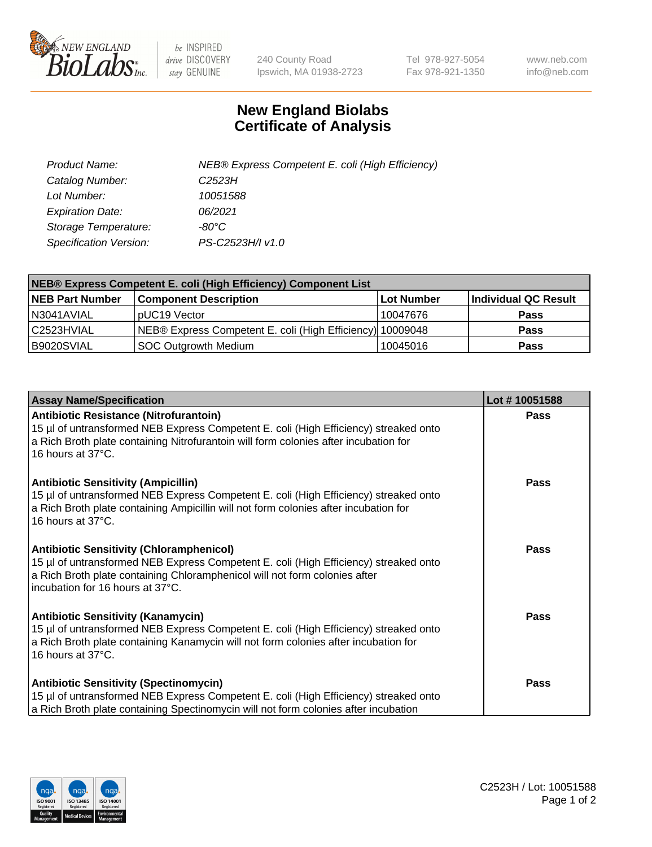

 $be$  INSPIRED drive DISCOVERY stay GENUINE

240 County Road Ipswich, MA 01938-2723 Tel 978-927-5054 Fax 978-921-1350 www.neb.com info@neb.com

## **New England Biolabs Certificate of Analysis**

| Product Name:           | NEB® Express Competent E. coli (High Efficiency) |
|-------------------------|--------------------------------------------------|
| Catalog Number:         | C <sub>2523</sub> H                              |
| Lot Number:             | 10051588                                         |
| <b>Expiration Date:</b> | 06/2021                                          |
| Storage Temperature:    | -80°C                                            |
| Specification Version:  | PS-C2523H/I v1.0                                 |

| <b>NEB® Express Competent E. coli (High Efficiency) Component List</b> |                                                           |            |                      |  |
|------------------------------------------------------------------------|-----------------------------------------------------------|------------|----------------------|--|
| <b>NEB Part Number</b>                                                 | <b>Component Description</b>                              | Lot Number | Individual QC Result |  |
| N3041AVIAL                                                             | pUC19 Vector                                              | 10047676   | <b>Pass</b>          |  |
| C2523HVIAL                                                             | NEB® Express Competent E. coli (High Efficiency) 10009048 |            | <b>Pass</b>          |  |
| B9020SVIAL                                                             | SOC Outgrowth Medium                                      | 10045016   | <b>Pass</b>          |  |

| <b>Assay Name/Specification</b>                                                                                                                                                                                                                           | Lot #10051588 |
|-----------------------------------------------------------------------------------------------------------------------------------------------------------------------------------------------------------------------------------------------------------|---------------|
| <b>Antibiotic Resistance (Nitrofurantoin)</b><br>15 µl of untransformed NEB Express Competent E. coli (High Efficiency) streaked onto<br>a Rich Broth plate containing Nitrofurantoin will form colonies after incubation for<br>16 hours at 37°C.        | Pass          |
| <b>Antibiotic Sensitivity (Ampicillin)</b><br>15 µl of untransformed NEB Express Competent E. coli (High Efficiency) streaked onto<br>a Rich Broth plate containing Ampicillin will not form colonies after incubation for<br>16 hours at 37°C.           | Pass          |
| <b>Antibiotic Sensitivity (Chloramphenicol)</b><br>15 µl of untransformed NEB Express Competent E. coli (High Efficiency) streaked onto<br>a Rich Broth plate containing Chloramphenicol will not form colonies after<br>incubation for 16 hours at 37°C. | Pass          |
| <b>Antibiotic Sensitivity (Kanamycin)</b><br>15 µl of untransformed NEB Express Competent E. coli (High Efficiency) streaked onto<br>a Rich Broth plate containing Kanamycin will not form colonies after incubation for<br>16 hours at 37°C.             | <b>Pass</b>   |
| <b>Antibiotic Sensitivity (Spectinomycin)</b><br>15 µl of untransformed NEB Express Competent E. coli (High Efficiency) streaked onto<br>a Rich Broth plate containing Spectinomycin will not form colonies after incubation                              | Pass          |